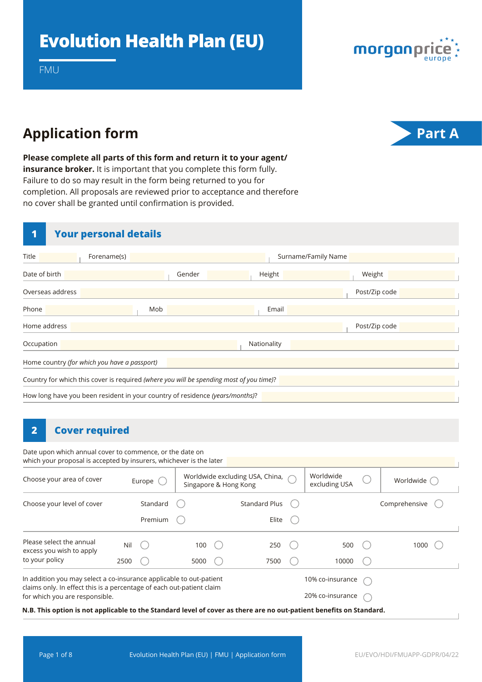

FMU

## **Application form Part A**



**Please complete all parts of this form and return it to your agent/ insurance broker.** It is important that you complete this form fully. Failure to do so may result in the form being returned to you for completion. All proposals are reviewed prior to acceptance and therefore no cover shall be granted until confirmation is provided.

#### **1 Your personal details**

| Title                                                                                   | Forename(s)                                  |        |             | Surname/Family Name |  |  |  |  |
|-----------------------------------------------------------------------------------------|----------------------------------------------|--------|-------------|---------------------|--|--|--|--|
| Date of birth                                                                           |                                              | Gender | Height      | Weight              |  |  |  |  |
| Overseas address                                                                        |                                              |        |             | Post/Zip code       |  |  |  |  |
| Phone                                                                                   | Mob                                          |        | Email       |                     |  |  |  |  |
| Home address                                                                            |                                              |        |             | Post/Zip code       |  |  |  |  |
| Occupation                                                                              |                                              |        | Nationality |                     |  |  |  |  |
|                                                                                         | Home country (for which you have a passport) |        |             |                     |  |  |  |  |
| Country for which this cover is required (where you will be spending most of you time)? |                                              |        |             |                     |  |  |  |  |
| How long have you been resident in your country of residence (years/months)?            |                                              |        |             |                     |  |  |  |  |

#### **2 Cover required**

Date upon which annual cover to commence, or the date on which your proposal is accepted by insurers, whichever is the later

| Choose your area of cover<br>Europe $\binom{1}{2}$                                                      |                                                                                                                        |          | Worldwide excluding USA, China, $\curvearrowright$<br>Singapore & Hong Kong |  |                      | Worldwide<br>excluding USA |                  | Worldwide ( |               |  |  |
|---------------------------------------------------------------------------------------------------------|------------------------------------------------------------------------------------------------------------------------|----------|-----------------------------------------------------------------------------|--|----------------------|----------------------------|------------------|-------------|---------------|--|--|
| Choose your level of cover                                                                              |                                                                                                                        | Standard |                                                                             |  | <b>Standard Plus</b> |                            |                  |             | Comprehensive |  |  |
|                                                                                                         |                                                                                                                        | Premium  |                                                                             |  | Elite                |                            |                  |             |               |  |  |
| Please select the annual<br>excess you wish to apply                                                    | Nil                                                                                                                    |          | 100                                                                         |  | 250                  |                            | 500              |             | 1000          |  |  |
| to your policy                                                                                          | 2500                                                                                                                   |          | 5000                                                                        |  | 7500                 |                            | 10000            |             |               |  |  |
| In addition you may select a co-insurance applicable to out-patient                                     |                                                                                                                        |          |                                                                             |  |                      |                            | 10% co-insurance |             |               |  |  |
| claims only. In effect this is a percentage of each out-patient claim<br>for which you are responsible. |                                                                                                                        |          |                                                                             |  |                      | 20% co-insurance           |                  |             |               |  |  |
|                                                                                                         | NI D. White control trong cooligable na nha Angolaed Israil of correspondience and organizations have fine on Angolaed |          |                                                                             |  |                      |                            |                  |             |               |  |  |

**N.B. This option is not applicable to the Standard level of cover as there are no out-patient benefits on Standard.**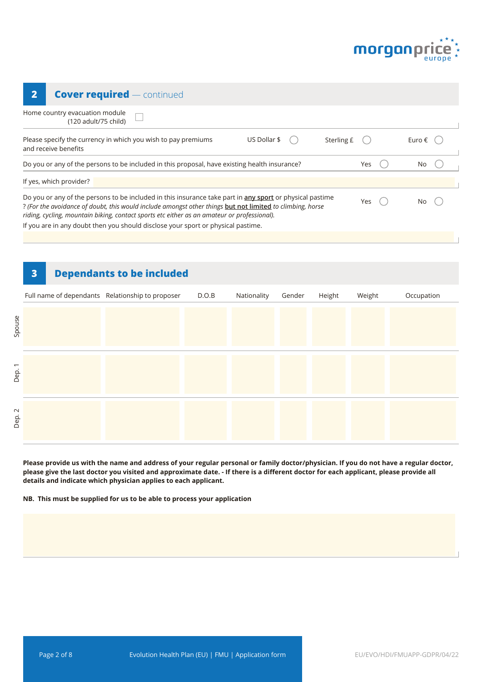

| <b>Cover required — continued</b><br>2                                                                                                                                                                                                                                                                                                                                                                   |     |  |                 |  |  |  |  |
|----------------------------------------------------------------------------------------------------------------------------------------------------------------------------------------------------------------------------------------------------------------------------------------------------------------------------------------------------------------------------------------------------------|-----|--|-----------------|--|--|--|--|
| Home country evacuation module<br>(120 adult/75 child)                                                                                                                                                                                                                                                                                                                                                   |     |  |                 |  |  |  |  |
| US Dollar \$<br>Sterling £<br>Please specify the currency in which you wish to pay premiums<br>and receive benefits                                                                                                                                                                                                                                                                                      |     |  | Euro $\epsilon$ |  |  |  |  |
| Do you or any of the persons to be included in this proposal, have existing health insurance?<br>Yes<br>No                                                                                                                                                                                                                                                                                               |     |  |                 |  |  |  |  |
| If yes, which provider?                                                                                                                                                                                                                                                                                                                                                                                  |     |  |                 |  |  |  |  |
| Do you or any of the persons to be included in this insurance take part in any sport or physical pastime<br>? (For the avoidance of doubt, this would include amongst other things but not limited to climbing, horse<br>riding, cycling, mountain biking, contact sports etc either as an amateur or professional).<br>If you are in any doubt then you should disclose your sport or physical pastime. | Yes |  |                 |  |  |  |  |

# **3 Dependants to be included** Full name of dependants Relationship to proposer D.O.B Nationality Gender Height Weight Occupation Dep. 2

**Please provide us with the name and address of your regular personal or family doctor/physician. If you do not have a regular doctor, please give the last doctor you visited and approximate date. - If there is a different doctor for each applicant, please provide all details and indicate which physician applies to each applicant.**

**NB. This must be supplied for us to be able to process your application**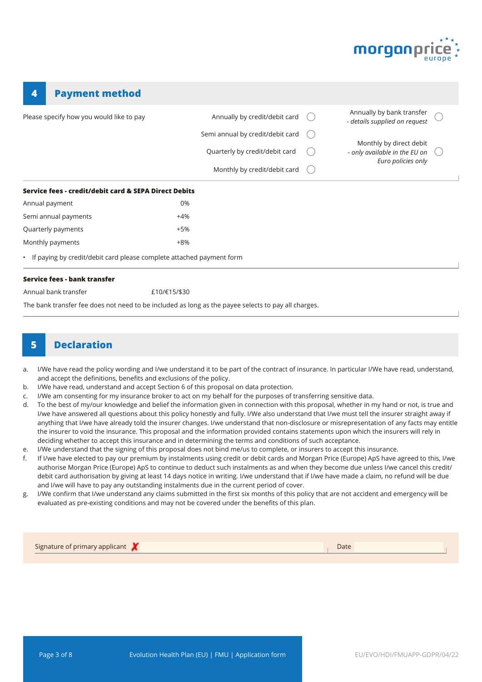

| <b>Payment method</b><br>4                                                                          |              |                                  |                                                            |  |
|-----------------------------------------------------------------------------------------------------|--------------|----------------------------------|------------------------------------------------------------|--|
| Please specify how you would like to pay                                                            |              | Annually by credit/debit card    | Annually by bank transfer<br>- details supplied on request |  |
|                                                                                                     |              | Semi annual by credit/debit card |                                                            |  |
|                                                                                                     |              | Quarterly by credit/debit card   | Monthly by direct debit<br>- only available in the EU on   |  |
|                                                                                                     |              | Monthly by credit/debit card     | Euro policies only                                         |  |
| Service fees - credit/debit card & SEPA Direct Debits                                               |              |                                  |                                                            |  |
| Annual payment                                                                                      | 0%           |                                  |                                                            |  |
| Semi annual payments                                                                                | $+4%$        |                                  |                                                            |  |
| Quarterly payments                                                                                  | $+5%$        |                                  |                                                            |  |
| Monthly payments                                                                                    | $+8%$        |                                  |                                                            |  |
| • If paying by credit/debit card please complete attached payment form                              |              |                                  |                                                            |  |
| Service fees - bank transfer                                                                        |              |                                  |                                                            |  |
| Annual bank transfer                                                                                | £10/€15/\$30 |                                  |                                                            |  |
| The bank transfer fee does not need to be included as long as the payee selects to pay all charges. |              |                                  |                                                            |  |

#### **5 Declaration**

- a. I/We have read the policy wording and I/we understand it to be part of the contract of insurance. In particular I/We have read, understand, and accept the definitions, benefits and exclusions of the policy.
- b. I/We have read, understand and accept Section 6 of this proposal on data protection.
- c. I/We am consenting for my insurance broker to act on my behalf for the purposes of transferring sensitive data.
- d. To the best of my/our knowledge and belief the information given in connection with this proposal, whether in my hand or not, is true and I/we have answered all questions about this policy honestly and fully. I/We also understand that I/we must tell the insurer straight away if anything that I/we have already told the insurer changes. I/we understand that non-disclosure or misrepresentation of any facts may entitle the insurer to void the insurance. This proposal and the information provided contains statements upon which the insurers will rely in deciding whether to accept this insurance and in determining the terms and conditions of such acceptance.
- e. I/We understand that the signing of this proposal does not bind me/us to complete, or insurers to accept this insurance.
- f. If I/we have elected to pay our premium by instalments using credit or debit cards and Morgan Price (Europe) ApS have agreed to this, I/we authorise Morgan Price (Europe) ApS to continue to deduct such instalments as and when they become due unless I/we cancel this credit/ debit card authorisation by giving at least 14 days notice in writing. I/we understand that if I/we have made a claim, no refund will be due and I/we will have to pay any outstanding instalments due in the current period of cover.
- g. I/We confirm that I/we understand any claims submitted in the first six months of this policy that are not accident and emergency will be evaluated as pre-existing conditions and may not be covered under the benefits of this plan.

| Signature of primary applicant $\blacktriangleright$ | Date |  |
|------------------------------------------------------|------|--|
|                                                      |      |  |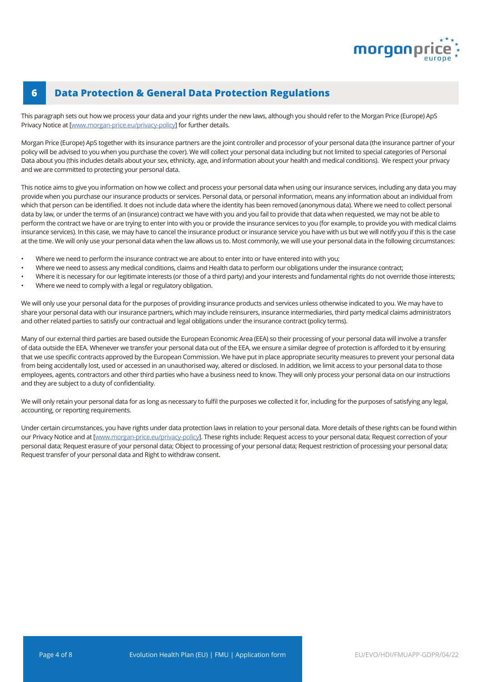

#### **6 Data Protection & General Data Protection Regulations**

This paragraph sets out how we process your data and your rights under the new laws, although you should refer to the Morgan Price (Europe) ApS Privacy Notice at [\[www.morgan-price.eu/privacy-policy](http://www.morgan-price.com/privacy-policy)] for further details.

Morgan Price (Europe) ApS together with its insurance partners are the joint controller and processor of your personal data (the insurance partner of your policy will be advised to you when you purchase the cover). We will collect your personal data including but not limited to special categories of Personal Data about you (this includes details about your sex, ethnicity, age, and information about your health and medical conditions). We respect your privacy and we are committed to protecting your personal data.

This notice aims to give you information on how we collect and process your personal data when using our insurance services, including any data you may provide when you purchase our insurance products or services. Personal data, or personal information, means any information about an individual from which that person can be identified. It does not include data where the identity has been removed (anonymous data). Where we need to collect personal data by law, or under the terms of an (insurance) contract we have with you and you fail to provide that data when requested, we may not be able to perform the contract we have or are trying to enter into with you or provide the insurance services to you (for example, to provide you with medical claims insurance services). In this case, we may have to cancel the insurance product or insurance service you have with us but we will notify you if this is the case at the time. We will only use your personal data when the law allows us to. Most commonly, we will use your personal data in the following circumstances:

- Where we need to perform the insurance contract we are about to enter into or have entered into with you;
- Where we need to assess any medical conditions, claims and Health data to perform our obligations under the insurance contract;
- Where it is necessary for our legitimate interests (or those of a third party) and your interests and fundamental rights do not override those interests;
- Where we need to comply with a legal or regulatory obligation.

We will only use your personal data for the purposes of providing insurance products and services unless otherwise indicated to you. We may have to share your personal data with our insurance partners, which may include reinsurers, insurance intermediaries, third party medical claims administrators and other related parties to satisfy our contractual and legal obligations under the insurance contract (policy terms).

Many of our external third parties are based outside the European Economic Area (EEA) so their processing of your personal data will involve a transfer of data outside the EEA. Whenever we transfer your personal data out of the EEA, we ensure a similar degree of protection is afforded to it by ensuring that we use specific contracts approved by the European Commission. We have put in place appropriate security measures to prevent your personal data from being accidentally lost, used or accessed in an unauthorised way, altered or disclosed. In addition, we limit access to your personal data to those employees, agents, contractors and other third parties who have a business need to know. They will only process your personal data on our instructions and they are subject to a duty of confidentiality.

We will only retain your personal data for as long as necessary to fulfil the purposes we collected it for, including for the purposes of satisfying any legal, accounting, or reporting requirements.

Under certain circumstances, you have rights under data protection laws in relation to your personal data. More details of these rights can be found within our Privacy Notice and at [[www.morgan-price.eu/privacy-policy\]](http://www.morgan-price.com/privacy-policy). These rights include: Request access to your personal data; Request correction of your personal data; Request erasure of your personal data; Object to processing of your personal data; Request restriction of processing your personal data; Request transfer of your personal data and Right to withdraw consent.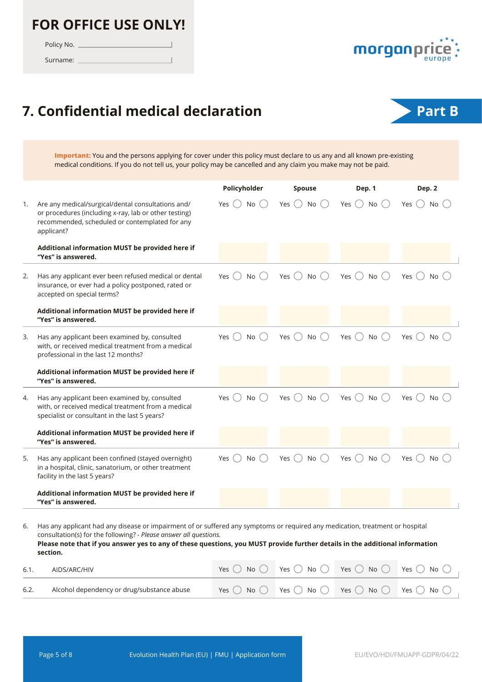### **FOR OFFICE USE ONLY!**

Policy No.

Surname:



# **7. Confidential medical declaration Part B**

 $\overline{1}$ 



**Important:** You and the persons applying for cover under this policy must declare to us any and all known pre-existing medical conditions. If you do not tell us, your policy may be cancelled and any claim you make may not be paid.

|    |                                                                                                                                                                                                                                                                                                                                    | Policyholder     | Spouse                     | Dep. 1                 | Dep. 2           |
|----|------------------------------------------------------------------------------------------------------------------------------------------------------------------------------------------------------------------------------------------------------------------------------------------------------------------------------------|------------------|----------------------------|------------------------|------------------|
| 1. | Are any medical/surgical/dental consultations and/<br>or procedures (including x-ray, lab or other testing)<br>recommended, scheduled or contemplated for any<br>applicant?                                                                                                                                                        | No<br>Yes        | Yes $\bigcap$<br><b>No</b> | <b>No</b><br>Yes $( )$ | Yes $( )$<br>No. |
|    | Additional information MUST be provided here if<br>"Yes" is answered.                                                                                                                                                                                                                                                              |                  |                            |                        |                  |
| 2. | Has any applicant ever been refused medical or dental<br>insurance, or ever had a policy postponed, rated or<br>accepted on special terms?                                                                                                                                                                                         | No()<br>Yes (    | No<br>Yes                  | No<br>Yes              | Yes<br>No        |
|    | Additional information MUST be provided here if<br>"Yes" is answered.                                                                                                                                                                                                                                                              |                  |                            |                        |                  |
| 3. | Has any applicant been examined by, consulted<br>with, or received medical treatment from a medical<br>professional in the last 12 months?                                                                                                                                                                                         | Yes $( )$<br>No. | <b>No</b><br>Yes           | Yes<br>No              | Yes<br>No        |
|    | Additional information MUST be provided here if<br>"Yes" is answered.                                                                                                                                                                                                                                                              |                  |                            |                        |                  |
| 4. | Has any applicant been examined by, consulted<br>with, or received medical treatment from a medical<br>specialist or consultant in the last 5 years?                                                                                                                                                                               | Yes<br>No        | No<br><b>Yes</b>           | Yes<br>No              | Yes<br>No.       |
|    | Additional information MUST be provided here if<br>"Yes" is answered.                                                                                                                                                                                                                                                              |                  |                            |                        |                  |
| 5. | Has any applicant been confined (stayed overnight)<br>in a hospital, clinic, sanatorium, or other treatment<br>facility in the last 5 years?                                                                                                                                                                                       | No<br>Yes        | <b>No</b><br>Yes           | No<br>Yes              | No.<br>Yes       |
|    | Additional information MUST be provided here if<br>"Yes" is answered.                                                                                                                                                                                                                                                              |                  |                            |                        |                  |
| 6. | Has any applicant had any disease or impairment of or suffered any symptoms or required any medication, treatment or hospital<br>consultation(s) for the following? - Please answer all questions.<br>Please note that if you answer yes to any of these questions, you MUST provide further details in the additional information |                  |                            |                        |                  |

| 6.1. | AIDS/ARC/HIV                               | Yes $( )$ | ) No $\bigcirc$ Yes $\bigcirc$ No $\bigcirc$ Yes $\bigcirc$ No $\bigcirc$ Yes $\bigcirc$ No $\bigcirc$              |  |
|------|--------------------------------------------|-----------|---------------------------------------------------------------------------------------------------------------------|--|
| 6.2. | Alcohol dependency or drug/substance abuse |           | Yes $\bigcirc$ No $\bigcirc$ Yes $\bigcirc$ No $\bigcirc$ Yes $\bigcirc$ No $\bigcirc$ Yes $\bigcirc$ No $\bigcirc$ |  |

**section.**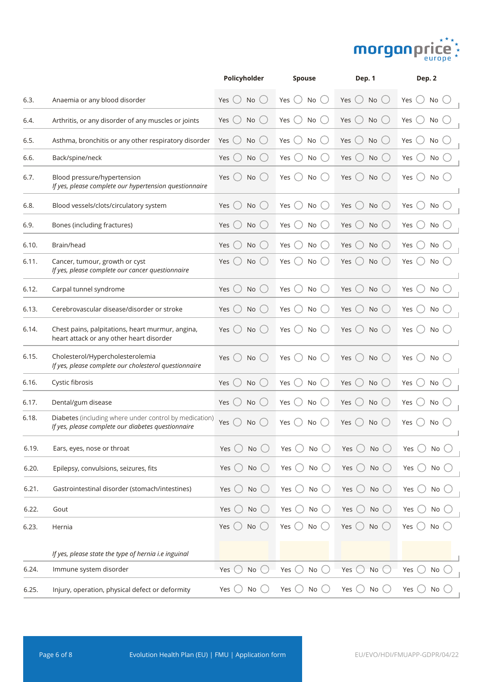

|       |                                                                                                              | Policyholder           | <b>Spouse</b>                     | Dep. 1                                                   | Dep. 2               |
|-------|--------------------------------------------------------------------------------------------------------------|------------------------|-----------------------------------|----------------------------------------------------------|----------------------|
| 6.3.  | Anaemia or any blood disorder                                                                                | No<br>Yes $()$         | Yes<br>No<br>$($ )                | Yes<br>$($ )<br>No<br>$($ )                              | Yes<br>No            |
| 6.4.  | Arthritis, or any disorder of any muscles or joints                                                          | Yes<br>No              | Yes<br>No                         | Yes<br>No                                                | Yes<br>No            |
| 6.5.  | Asthma, bronchitis or any other respiratory disorder                                                         | Yes<br>No              | Yes<br>No                         | Yes<br>No                                                | Yes<br>No            |
| 6.6.  | Back/spine/neck                                                                                              | No<br>Yes              | Yes $($ $)$<br>No<br>$($ )        | Yes $\bigcirc$<br>No<br>$(\ )$                           | Yes<br>No            |
| 6.7.  | Blood pressure/hypertension<br>If yes, please complete our hypertension questionnaire                        | Yes<br>No              | Yes $( )$<br>No                   | Yes<br>No<br>$\qquad \qquad \Box$                        | Yes<br>No            |
| 6.8.  | Blood vessels/clots/circulatory system                                                                       | Yes<br>No              | Yes<br>No                         | Yes<br>No                                                | No<br>Yes            |
| 6.9.  | Bones (including fractures)                                                                                  | Yes<br>No              | Yes<br>No                         | Yes<br>No                                                | Yes<br>No            |
| 6.10. | Brain/head                                                                                                   | Yes<br>No              | Yes $($ $)$<br>No                 | Yes<br>No<br>$(\ )$                                      | Yes<br>No            |
| 6.11. | Cancer, tumour, growth or cyst<br>If yes, please complete our cancer questionnaire                           | Yes<br>No              | <b>No</b><br>Yes                  | No<br>Yes                                                | Yes<br>No            |
| 6.12. | Carpal tunnel syndrome                                                                                       | $(\quad)$<br>Yes<br>No | Yes<br>No<br>(                    | Yes<br>No<br>(                                           | Yes<br>No            |
| 6.13. | Cerebrovascular disease/disorder or stroke                                                                   | Yes<br>No              | No<br>Yes                         | Yes<br>No                                                | Yes<br>No            |
| 6.14. | Chest pains, palpitations, heart murmur, angina,<br>heart attack or any other heart disorder                 | Yes<br>No              | Yes<br>No                         | Yes<br>No                                                | Yes<br>No            |
| 6.15. | Cholesterol/Hypercholesterolemia<br>If yes, please complete our cholesterol questionnaire                    | Yes<br>No              | No<br>Yes                         | Yes<br>No                                                | Yes<br>No            |
| 6.16. | Cystic fibrosis                                                                                              | Yes<br>No              | Yes<br>No                         | Yes<br>No<br>$\left(\begin{array}{c} \end{array}\right)$ | Yes<br>No            |
| 6.17. | Dental/gum disease                                                                                           | No<br>Yes              | No<br>Yes                         | Yes<br>No                                                | No<br>Yes            |
| 6.18. | Diabetes (including where under control by medication)<br>If yes, please complete our diabetes questionnaire | Yes<br>No              | Yes<br>No                         | Yes<br>No                                                | Yes<br>No            |
| 6.19. | Ears, eyes, nose or throat                                                                                   | No<br>Yes              | Yes $\bigcirc$<br>No()            | Yes $\bigcirc$<br>No                                     | Yes (<br>No          |
| 6.20. | Epilepsy, convulsions, seizures, fits                                                                        | No<br>$($ )<br>Yes     | Yes $\bigcirc$<br>No $\bigcirc$   | Yes $\bigcirc$<br>No                                     | Yes $\bigcirc$<br>No |
| 6.21. | Gastrointestinal disorder (stomach/intestines)                                                               | No<br>Yes              | ( )<br>No<br>Yes                  | No<br>Yes $\bigcup$                                      | Yes<br>No            |
| 6.22. | Gout                                                                                                         | No<br>Yes              | Yes $\bigcirc$<br>$No$ $\bigcirc$ | No<br>Yes $\bigcup$                                      | Yes (<br>No (        |
| 6.23. | Hernia                                                                                                       | No $\bigcirc$<br>Yes   | Yes $\bigcirc$<br>No $\bigcirc$   | No<br>Yes $\bigcirc$                                     | Yes<br>No            |
|       | If yes, please state the type of hernia i.e inguinal                                                         |                        |                                   |                                                          |                      |
| 6.24. | Immune system disorder                                                                                       | No<br>Yes              | No<br>Yes                         | Yes $\bigcup$<br>No                                      | Yes<br>No            |
| 6.25. | Injury, operation, physical defect or deformity                                                              | No<br>Yes              | Yes $\bigcirc$<br>No              | Yes $\bigcirc$<br>No()                                   | Yes (<br>No          |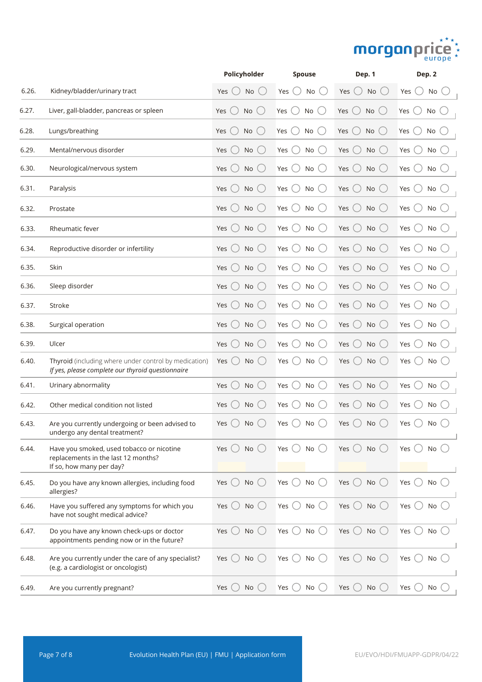# morganprice \*\*

|       |                                                                                                              | Policyholder                                       | <b>Spouse</b>                   | Dep. 1                            | Dep. 2                 |
|-------|--------------------------------------------------------------------------------------------------------------|----------------------------------------------------|---------------------------------|-----------------------------------|------------------------|
| 6.26. | Kidney/bladder/urinary tract                                                                                 | No<br>Yes                                          | No<br>Yes                       | No<br>Yes                         | No<br>Yes              |
| 6.27. | Liver, gall-bladder, pancreas or spleen                                                                      | No<br>Yes                                          | $($ )<br>No<br>Yes              | No<br>Yes                         | No<br>Yes              |
| 6.28. | Lungs/breathing                                                                                              | Yes<br>No                                          | Yes<br>No                       | Yes<br>No                         | Yes<br>No              |
| 6.29. | Mental/nervous disorder                                                                                      | Yes<br><b>No</b>                                   | Yes (<br>No<br>$\rightarrow$    | Yes<br>No                         | Yes<br>No              |
| 6.30. | Neurological/nervous system                                                                                  | $\qquad \qquad \Box$<br>Yes<br>No                  | Yes $\bigcirc$<br>$No$ ( )      | $($ )<br>Yes<br>No                | Yes<br>No              |
| 6.31. | Paralysis                                                                                                    | Yes<br>No                                          | Yes<br>$^{+}$<br>No             | Yes<br>No                         | No<br>Yes              |
| 6.32. | Prostate                                                                                                     | Yes<br>No                                          | Yes<br>$($ )<br>No              | Yes<br>No                         | Yes<br>No              |
| 6.33. | Rheumatic fever                                                                                              | Yes<br>No                                          | Yes<br>No                       | No<br>Yes                         | Yes<br>$No$ (          |
| 6.34. | Reproductive disorder or infertility                                                                         | Yes<br>No<br>$\begin{pmatrix} 1 & 1 \end{pmatrix}$ | Yes<br>No                       | Yes<br>$($ )<br>No()              | Yes<br>$No$ $($        |
| 6.35. | Skin                                                                                                         | Yes<br>No                                          | Yes<br>No                       | Yes $\bigcup$<br>No()             | Yes<br>$No$ $\bigcirc$ |
| 6.36. | Sleep disorder                                                                                               | Yes<br>No                                          | Yes<br>No                       | No<br>Yes                         | No<br>Yes              |
| 6.37. | Stroke                                                                                                       | Yes<br>No                                          | Yes<br>No                       | Yes<br>No                         | No<br>Yes              |
| 6.38. | Surgical operation                                                                                           | <b>No</b><br>Yes                                   | Yes<br>No                       | Yes<br>No<br>(                    | No<br>Yes              |
| 6.39. | Ulcer                                                                                                        | No<br>Yes                                          | Yes<br>No                       | Yes<br>No                         | Yes<br>No              |
| 6.40. | Thyroid (including where under control by medication)<br>If yes, please complete our thyroid questionnaire   | Yes<br>No                                          | Yes<br>No                       | No<br>Yes                         | Yes<br>No              |
| 6.41. | Urinary abnormality                                                                                          | No<br>Yes                                          | No<br>Yes                       | Yes $\bigcirc$<br>No              | No<br>Yes              |
| 6.42. | Other medical condition not listed                                                                           | Yes<br><b>No</b>                                   | No<br>Yes                       | No<br>(<br>Yes                    | Yes<br>No              |
| 6.43. | Are you currently undergoing or been advised to<br>undergo any dental treatment?                             | No<br>Yes                                          | Yes<br>No                       | Yes<br>No()                       | Yes<br>$No$ (          |
| 6.44. | Have you smoked, used tobacco or nicotine<br>replacements in the last 12 months?<br>If so, how many per day? | No<br>Yes                                          | No<br>Yes (                     | Yes $\bigcirc$<br>$No$ $\bigcirc$ | Yes<br>No              |
| 6.45. | Do you have any known allergies, including food<br>allergies?                                                | Yes $\bigcirc$<br>No<br>$($ )                      | No<br>Yes $( )$                 | Yes $\bigcirc$<br>No              | Yes $\bigcirc$<br>No   |
| 6.46. | Have you suffered any symptoms for which you<br>have not sought medical advice?                              | <b>No</b><br>Yes<br>$($ )                          | No<br>Yes $\bigcirc$            | Yes $\bigcirc$<br>$No$ $\bigcirc$ | Yes $\bigcirc$<br>No   |
| 6.47. | Do you have any known check-ups or doctor<br>appointments pending now or in the future?                      | No<br>Yes $\bigcirc$                               | Yes $\bigcirc$<br>No $\bigcirc$ | Yes $\bigcirc$<br>No              | Yes $\bigcirc$<br>No   |
| 6.48. | Are you currently under the care of any specialist?<br>(e.g. a cardiologist or oncologist)                   | No<br>Yes                                          | Yes (<br>No                     | Yes $\bigcirc$<br>No              | Yes<br>No              |
| 6.49. | Are you currently pregnant?                                                                                  | No<br>Yes                                          | Yes $\bigcirc$<br>No            | Yes $\bigcirc$<br>No              | Yes (<br>No            |